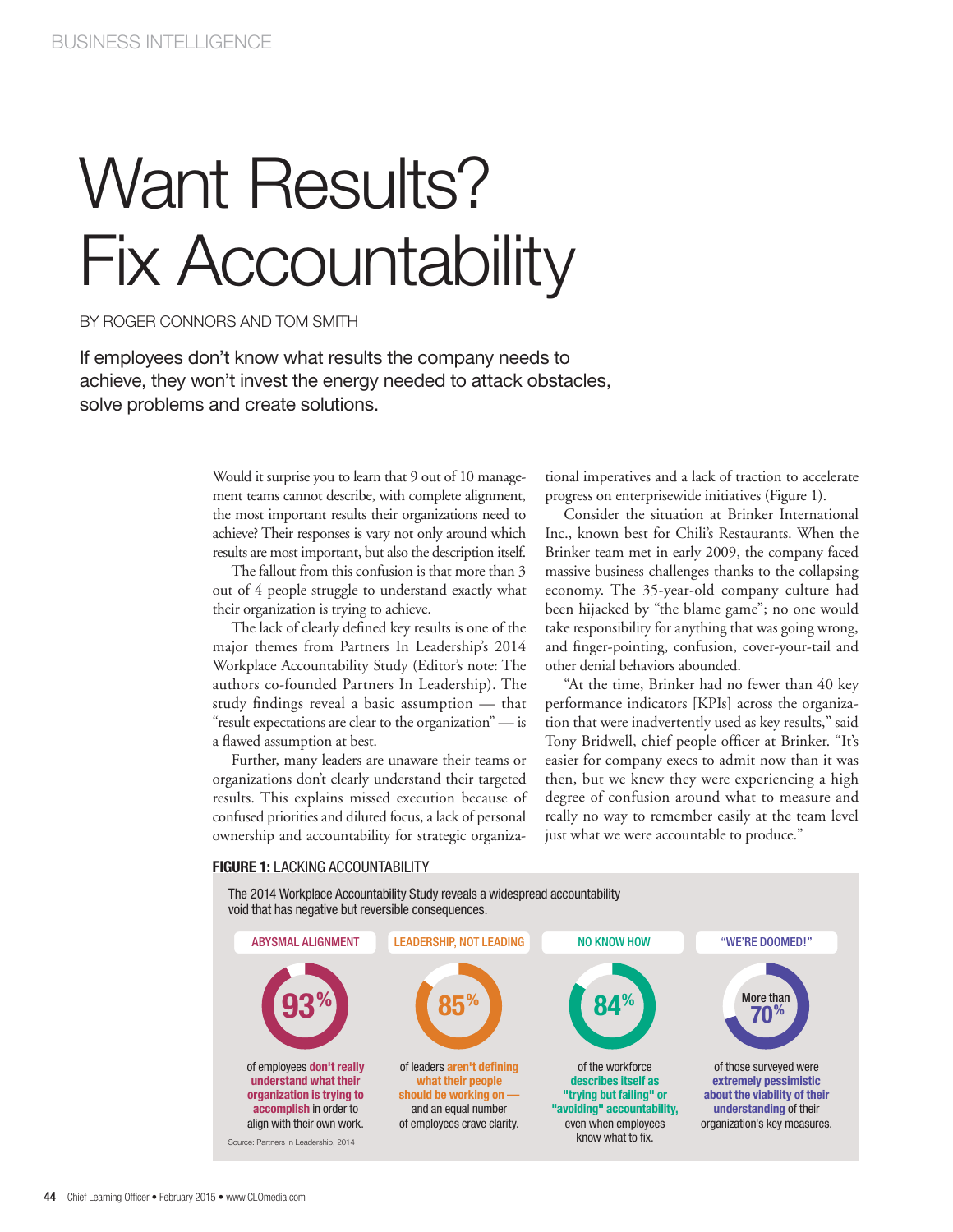# Want Results? Fix Accountability

BY ROGER CONNORS AND TOM SMITH

If employees don't know what results the company needs to achieve, they won't invest the energy needed to attack obstacles, solve problems and create solutions.

> Would it surprise you to learn that 9 out of 10 management teams cannot describe, with complete alignment, the most important results their organizations need to achieve? Their responses is vary not only around which results are most important, but also the description itself.

> The fallout from this confusion is that more than 3 out of 4 people struggle to understand exactly what their organization is trying to achieve.

> The lack of clearly defined key results is one of the major themes from Partners In Leadership's 2014 Workplace Accountability Study (Editor's note: The authors co-founded Partners In Leadership). The study findings reveal a basic assumption — that "result expectations are clear to the organization" — is a flawed assumption at best.

> Further, many leaders are unaware their teams or organizations don't clearly understand their targeted results. This explains missed execution because of confused priorities and diluted focus, a lack of personal ownership and accountability for strategic organiza

tional imperatives and a lack of traction to accelerate progress on enterprisewide initiatives (Figure 1).

Consider the situation at Brinker International Inc., known best for Chili's Restaurants. When the Brinker team met in early 2009, the company faced massive business challenges thanks to the collapsing economy. The 35-year-old company culture had been hijacked by "the blame game"; no one would take responsibility for anything that was going wrong, and finger-pointing, confusion, cover-your-tail and other denial behaviors abounded.

"At the time, Brinker had no fewer than 40 key performance indicators [KPIs] across the organization that were inadvertently used as key results," said Tony Bridwell, chief people officer at Brinker. "It's easier for company execs to admit now than it was then, but we knew they were experiencing a high degree of confusion around what to measure and really no way to remember easily at the team level just what we were accountable to produce."

#### **FIGURE 1:** LACKING ACCOUNTABILITY

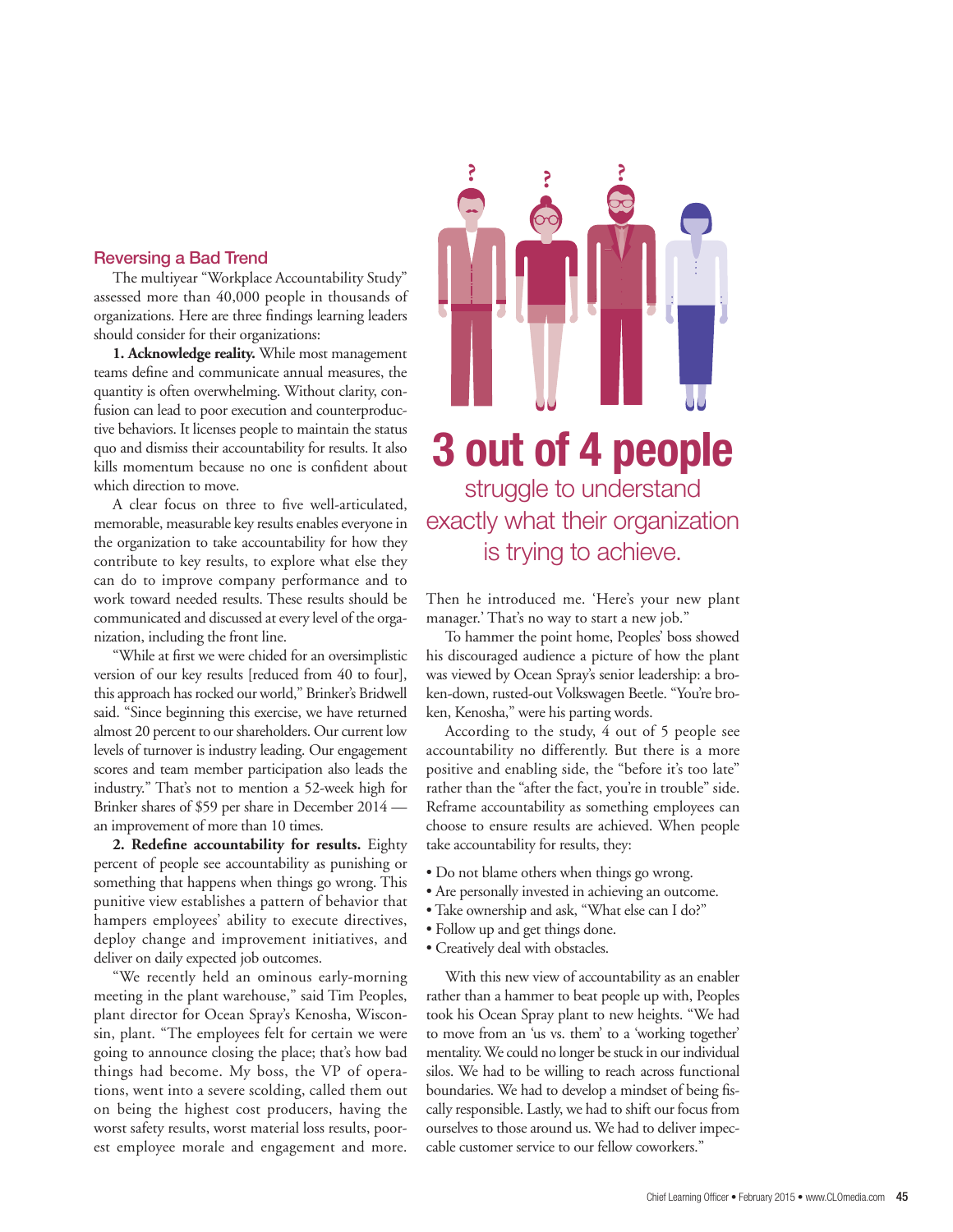### **Reversing a Bad Trend**

The multiyear "Workplace Accountability Study" assessed more than 40,000 people in thousands of organizations. Here are three findings learning leaders should consider for their organizations:

**1. Acknowledge reality.** While most management teams define and communicate annual measures, the quantity is often overwhelming. Without clarity, confusion can lead to poor execution and counterproductive behaviors. It licenses people to maintain the status quo and dismiss their accountability for results. It also kills momentum because no one is confident about which direction to move.

A clear focus on three to five well-articulated, memorable, measurable key results enables everyone in the organization to take accountability for how they contribute to key results, to explore what else they can do to improve company performance and to work toward needed results. These results should be communicated and discussed at every level of the organization, including the front line.

"While at first we were chided for an oversimplistic version of our key results [reduced from 40 to four], this approach has rocked our world," Brinker's Bridwell said. "Since beginning this exercise, we have returned almost 20 percent to our shareholders. Our current low levels of turnover is industry leading. Our engagement scores and team member participation also leads the industry." That's not to mention a 52-week high for Brinker shares of \$59 per share in December 2014 an improvement of more than 10 times.

**2. Redefine accountability for results.** Eighty percent of people see accountability as punishing or something that happens when things go wrong. This punitive view establishes a pattern of behavior that hampers employees' ability to execute directives, deploy change and improvement initiatives, and deliver on daily expected job outcomes.

"We recently held an ominous early-morning meeting in the plant warehouse," said Tim Peoples, plant director for Ocean Spray's Kenosha, Wisconsin, plant. "The employees felt for certain we were going to announce closing the place; that's how bad things had become. My boss, the VP of operations, went into a severe scolding, called them out on being the highest cost producers, having the worst safety results, worst material loss results, poorest employee morale and engagement and more.



## **3 out of 4 people**  struggle to understand exactly what their organization is trying to achieve.

Then he introduced me. 'Here's your new plant manager.' That's no way to start a new job."

To hammer the point home, Peoples' boss showed his discouraged audience a picture of how the plant was viewed by Ocean Spray's senior leadership: a broken-down, rusted-out Volkswagen Beetle. "You're broken, Kenosha," were his parting words.

According to the study, 4 out of 5 people see accountability no differently. But there is a more positive and enabling side, the "before it's too late" rather than the "after the fact, you're in trouble" side. Reframe accountability as something employees can choose to ensure results are achieved. When people take accountability for results, they:

- Do not blame others when things go wrong.
- Are personally invested in achieving an outcome.
- Take ownership and ask, "What else can I do?"
- Follow up and get things done.
- Creatively deal with obstacles.

With this new view of accountability as an enabler rather than a hammer to beat people up with, Peoples took his Ocean Spray plant to new heights. "We had to move from an 'us vs. them' to a 'working together' mentality. We could no longer be stuck in our individual silos. We had to be willing to reach across functional boundaries. We had to develop a mindset of being fiscally responsible. Lastly, we had to shift our focus from ourselves to those around us. We had to deliver impeccable customer service to our fellow coworkers."